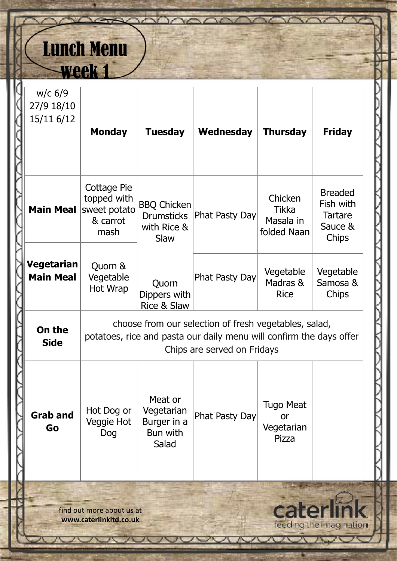## Lunch Menu week 1

| $w/c$ 6/9<br>27/9 18/10<br>15/11 6/12 | <b>Monday</b>                                                                                                                                               | <b>Tuesday</b>                                                        | Wednesday      | <b>Thursday</b>                               | <b>Friday</b>                                                     |  |
|---------------------------------------|-------------------------------------------------------------------------------------------------------------------------------------------------------------|-----------------------------------------------------------------------|----------------|-----------------------------------------------|-------------------------------------------------------------------|--|
| <b>Main Meal</b>                      | Cottage Pie<br>topped with<br>sweet potato<br>& carrot<br>mash                                                                                              | <b>BBQ Chicken</b><br><b>Drumsticks</b><br>with Rice &<br><b>Slaw</b> | Phat Pasty Day | Chicken<br>Tikka<br>Masala in<br>folded Naan  | <b>Breaded</b><br>Fish with<br><b>Tartare</b><br>Sauce &<br>Chips |  |
| Vegetarian<br><b>Main Meal</b>        | Quorn &<br>Vegetable<br>Hot Wrap                                                                                                                            | Quorn<br>Dippers with<br>Rice & Slaw                                  | Phat Pasty Day | Vegetable<br>Madras &<br><b>Rice</b>          | Vegetable<br>Samosa &<br>Chips                                    |  |
| On the<br><b>Side</b>                 | choose from our selection of fresh vegetables, salad,<br>potatoes, rice and pasta our daily menu will confirm the days offer<br>Chips are served on Fridays |                                                                       |                |                                               |                                                                   |  |
| <b>Grab and</b><br>Go                 | Hot Dog or<br>Veggie Hot<br>Dog                                                                                                                             | Meat or<br>Vegetarian<br>Burger in a<br>Bun with<br>Salad             | Phat Pasty Day | <b>Tugo Meat</b><br>or<br>Vegetarian<br>Pizza |                                                                   |  |
|                                       | find out more about us at<br>www.caterlinkltd.co.uk                                                                                                         |                                                                       |                | cat                                           | leeding the imagination                                           |  |

manana

 $\sqrt{2}$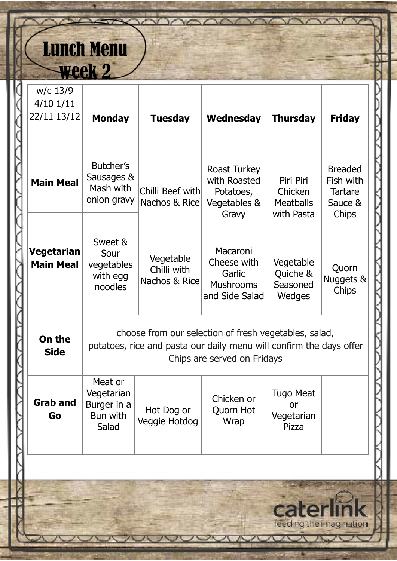## Lunch Menu week 2

 $\sim$ 

| w/c 13/9<br>$4/10$ $1/11$<br>22/11 13/12 | <b>Monday</b>                                                                                                                                               | <b>Tuesday</b>                            | Wednesday                                                               | <b>Thursday</b>                                        | <b>Friday</b>                                                     |  |
|------------------------------------------|-------------------------------------------------------------------------------------------------------------------------------------------------------------|-------------------------------------------|-------------------------------------------------------------------------|--------------------------------------------------------|-------------------------------------------------------------------|--|
| <b>Main Meal</b>                         | Butcher's<br>Sausages &<br>Mash with<br>onion gravy                                                                                                         | Chilli Beef with<br>Nachos & Rice         | Roast Turkey<br>with Roasted<br>Potatoes,<br>Vegetables &<br>Gravy      | Piri Piri<br>Chicken<br><b>Meatballs</b><br>with Pasta | <b>Breaded</b><br>Fish with<br>Tartare<br>Sauce &<br><b>Chips</b> |  |
| <b>Vegetarian</b><br><b>Main Meal</b>    | Sweet &<br>Sour<br>vegetables<br>with egg<br>noodles                                                                                                        | Vegetable<br>Chilli with<br>Nachos & Rice | Macaroni<br>Cheese with<br>Garlic<br><b>Mushrooms</b><br>and Side Salad | Vegetable<br>Quiche &<br>Seasoned<br>Wedges            | Quorn<br>Nuggets &<br>Chips                                       |  |
| On the<br><b>Side</b>                    | choose from our selection of fresh vegetables, salad,<br>potatoes, rice and pasta our daily menu will confirm the days offer<br>Chips are served on Fridays |                                           |                                                                         |                                                        |                                                                   |  |
| <b>Grab and</b><br>Go                    | Meat or<br>Vegetarian<br>Burger in a<br>Bun with<br>Salad                                                                                                   | Hot Dog or<br>Veggie Hotdog               | Chicken or<br>Quorn Hot<br><b>Wrap</b>                                  | <b>Tugo Meat</b><br>or<br>Vegetarian<br>Pizza          |                                                                   |  |
|                                          |                                                                                                                                                             |                                           |                                                                         |                                                        |                                                                   |  |
|                                          |                                                                                                                                                             |                                           |                                                                         |                                                        |                                                                   |  |

 $\sim$